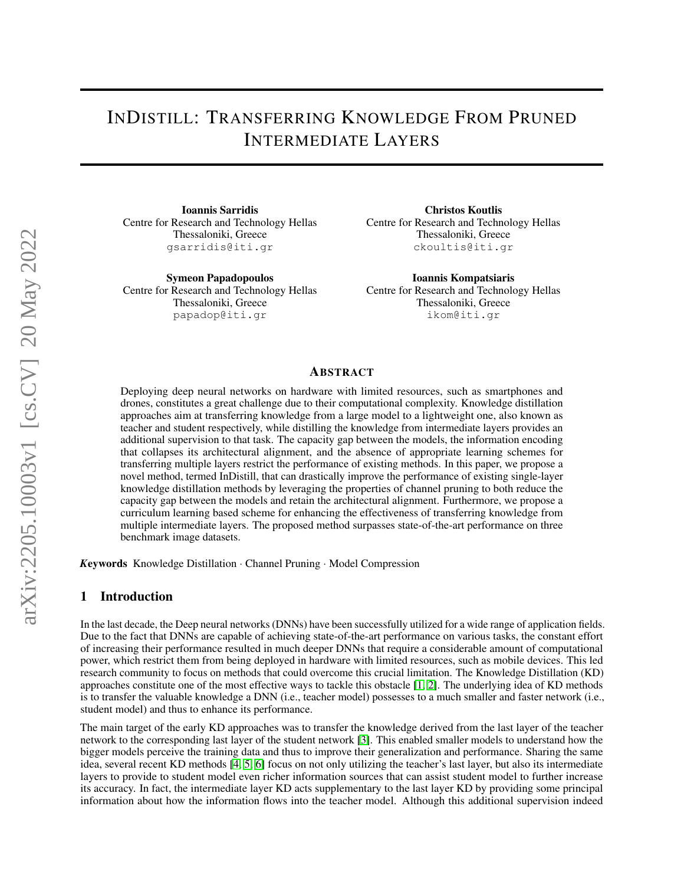# INDISTILL: TRANSFERRING KNOWLEDGE FROM PRUNED INTERMEDIATE LAYERS

Ioannis Sarridis Centre for Research and Technology Hellas Thessaloniki, Greece gsarridis@iti.gr

Symeon Papadopoulos Centre for Research and Technology Hellas Thessaloniki, Greece papadop@iti.gr

Christos Koutlis Centre for Research and Technology Hellas Thessaloniki, Greece ckoultis@iti.gr

Ioannis Kompatsiaris Centre for Research and Technology Hellas Thessaloniki, Greece ikom@iti.gr

## ABSTRACT

Deploying deep neural networks on hardware with limited resources, such as smartphones and drones, constitutes a great challenge due to their computational complexity. Knowledge distillation approaches aim at transferring knowledge from a large model to a lightweight one, also known as teacher and student respectively, while distilling the knowledge from intermediate layers provides an additional supervision to that task. The capacity gap between the models, the information encoding that collapses its architectural alignment, and the absence of appropriate learning schemes for transferring multiple layers restrict the performance of existing methods. In this paper, we propose a novel method, termed InDistill, that can drastically improve the performance of existing single-layer knowledge distillation methods by leveraging the properties of channel pruning to both reduce the capacity gap between the models and retain the architectural alignment. Furthermore, we propose a curriculum learning based scheme for enhancing the effectiveness of transferring knowledge from multiple intermediate layers. The proposed method surpasses state-of-the-art performance on three benchmark image datasets.

*K*eywords Knowledge Distillation · Channel Pruning · Model Compression

# 1 Introduction

In the last decade, the Deep neural networks (DNNs) have been successfully utilized for a wide range of application fields. Due to the fact that DNNs are capable of achieving state-of-the-art performance on various tasks, the constant effort of increasing their performance resulted in much deeper DNNs that require a considerable amount of computational power, which restrict them from being deployed in hardware with limited resources, such as mobile devices. This led research community to focus on methods that could overcome this crucial limitation. The Knowledge Distillation (KD) approaches constitute one of the most effective ways to tackle this obstacle [\[1,](#page-8-0) [2\]](#page-8-1). The underlying idea of KD methods is to transfer the valuable knowledge a DNN (i.e., teacher model) possesses to a much smaller and faster network (i.e., student model) and thus to enhance its performance.

The main target of the early KD approaches was to transfer the knowledge derived from the last layer of the teacher network to the corresponding last layer of the student network [\[3\]](#page-9-0). This enabled smaller models to understand how the bigger models perceive the training data and thus to improve their generalization and performance. Sharing the same idea, several recent KD methods [\[4,](#page-9-1) [5,](#page-9-2) [6\]](#page-9-3) focus on not only utilizing the teacher's last layer, but also its intermediate layers to provide to student model even richer information sources that can assist student model to further increase its accuracy. In fact, the intermediate layer KD acts supplementary to the last layer KD by providing some principal information about how the information flows into the teacher model. Although this additional supervision indeed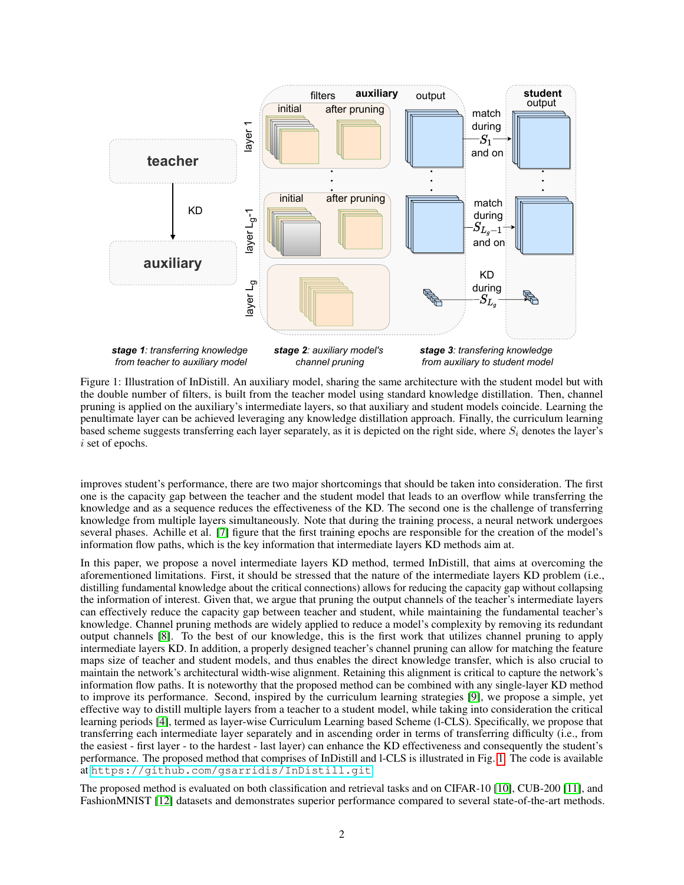<span id="page-1-0"></span>

Figure 1: Illustration of InDistill. An auxiliary model, sharing the same architecture with the student model but with the double number of filters, is built from the teacher model using standard knowledge distillation. Then, channel pruning is applied on the auxiliary's intermediate layers, so that auxiliary and student models coincide. Learning the penultimate layer can be achieved leveraging any knowledge distillation approach. Finally, the curriculum learning based scheme suggests transferring each layer separately, as it is depicted on the right side, where  $S_i$  denotes the layer's i set of epochs.

improves student's performance, there are two major shortcomings that should be taken into consideration. The first one is the capacity gap between the teacher and the student model that leads to an overflow while transferring the knowledge and as a sequence reduces the effectiveness of the KD. The second one is the challenge of transferring knowledge from multiple layers simultaneously. Note that during the training process, a neural network undergoes several phases. Achille et al. [\[7\]](#page-9-4) figure that the first training epochs are responsible for the creation of the model's information flow paths, which is the key information that intermediate layers KD methods aim at.

In this paper, we propose a novel intermediate layers KD method, termed InDistill, that aims at overcoming the aforementioned limitations. First, it should be stressed that the nature of the intermediate layers KD problem (i.e., distilling fundamental knowledge about the critical connections) allows for reducing the capacity gap without collapsing the information of interest. Given that, we argue that pruning the output channels of the teacher's intermediate layers can effectively reduce the capacity gap between teacher and student, while maintaining the fundamental teacher's knowledge. Channel pruning methods are widely applied to reduce a model's complexity by removing its redundant output channels [\[8\]](#page-9-5). To the best of our knowledge, this is the first work that utilizes channel pruning to apply intermediate layers KD. In addition, a properly designed teacher's channel pruning can allow for matching the feature maps size of teacher and student models, and thus enables the direct knowledge transfer, which is also crucial to maintain the network's architectural width-wise alignment. Retaining this alignment is critical to capture the network's information flow paths. It is noteworthy that the proposed method can be combined with any single-layer KD method to improve its performance. Second, inspired by the curriculum learning strategies [\[9\]](#page-9-6), we propose a simple, yet effective way to distill multiple layers from a teacher to a student model, while taking into consideration the critical learning periods [\[4\]](#page-9-1), termed as layer-wise Curriculum Learning based Scheme (l-CLS). Specifically, we propose that transferring each intermediate layer separately and in ascending order in terms of transferring difficulty (i.e., from the easiest - first layer - to the hardest - last layer) can enhance the KD effectiveness and consequently the student's performance. The proposed method that comprises of InDistill and l-CLS is illustrated in Fig. [1.](#page-1-0) The code is available at <https://github.com/gsarridis/InDistill.git>.

The proposed method is evaluated on both classification and retrieval tasks and on CIFAR-10 [\[10\]](#page-9-7), CUB-200 [\[11\]](#page-9-8), and FashionMNIST [\[12\]](#page-9-9) datasets and demonstrates superior performance compared to several state-of-the-art methods.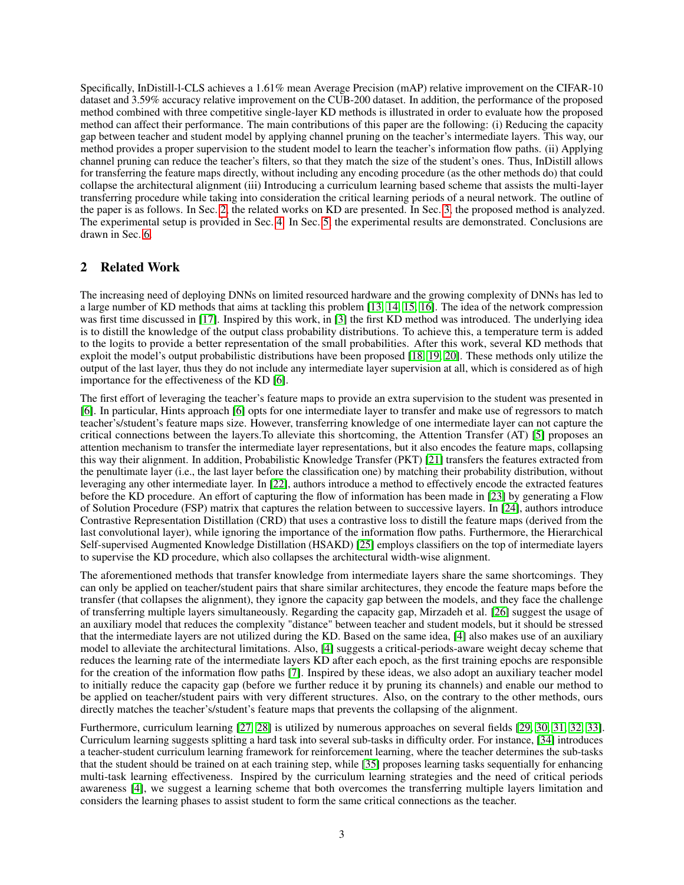Specifically, InDistill-l-CLS achieves a 1.61% mean Average Precision (mAP) relative improvement on the CIFAR-10 dataset and 3.59% accuracy relative improvement on the CUB-200 dataset. In addition, the performance of the proposed method combined with three competitive single-layer KD methods is illustrated in order to evaluate how the proposed method can affect their performance. The main contributions of this paper are the following: (i) Reducing the capacity gap between teacher and student model by applying channel pruning on the teacher's intermediate layers. This way, our method provides a proper supervision to the student model to learn the teacher's information flow paths. (ii) Applying channel pruning can reduce the teacher's filters, so that they match the size of the student's ones. Thus, InDistill allows for transferring the feature maps directly, without including any encoding procedure (as the other methods do) that could collapse the architectural alignment (iii) Introducing a curriculum learning based scheme that assists the multi-layer transferring procedure while taking into consideration the critical learning periods of a neural network. The outline of the paper is as follows. In Sec. [2,](#page-2-0) the related works on KD are presented. In Sec. [3,](#page-3-0) the proposed method is analyzed. The experimental setup is provided in Sec. [4.](#page-4-0) In Sec. [5,](#page-6-0) the experimental results are demonstrated. Conclusions are drawn in Sec. [6.](#page-8-2)

# <span id="page-2-0"></span>2 Related Work

The increasing need of deploying DNNs on limited resourced hardware and the growing complexity of DNNs has led to a large number of KD methods that aims at tackling this problem [\[13,](#page-9-10) [14,](#page-9-11) [15,](#page-9-12) [16\]](#page-9-13). The idea of the network compression was first time discussed in [\[17\]](#page-9-14). Inspired by this work, in [\[3\]](#page-9-0) the first KD method was introduced. The underlying idea is to distill the knowledge of the output class probability distributions. To achieve this, a temperature term is added to the logits to provide a better representation of the small probabilities. After this work, several KD methods that exploit the model's output probabilistic distributions have been proposed [\[18,](#page-9-15) [19,](#page-9-16) [20\]](#page-9-17). These methods only utilize the output of the last layer, thus they do not include any intermediate layer supervision at all, which is considered as of high importance for the effectiveness of the KD [\[6\]](#page-9-3).

The first effort of leveraging the teacher's feature maps to provide an extra supervision to the student was presented in [\[6\]](#page-9-3). In particular, Hints approach [\[6\]](#page-9-3) opts for one intermediate layer to transfer and make use of regressors to match teacher's/student's feature maps size. However, transferring knowledge of one intermediate layer can not capture the critical connections between the layers.To alleviate this shortcoming, the Attention Transfer (AT) [\[5\]](#page-9-2) proposes an attention mechanism to transfer the intermediate layer representations, but it also encodes the feature maps, collapsing this way their alignment. In addition, Probabilistic Knowledge Transfer (PKT) [\[21\]](#page-9-18) transfers the features extracted from the penultimate layer (i.e., the last layer before the classification one) by matching their probability distribution, without leveraging any other intermediate layer. In [\[22\]](#page-9-19), authors introduce a method to effectively encode the extracted features before the KD procedure. An effort of capturing the flow of information has been made in [\[23\]](#page-9-20) by generating a Flow of Solution Procedure (FSP) matrix that captures the relation between to successive layers. In [\[24\]](#page-9-21), authors introduce Contrastive Representation Distillation (CRD) that uses a contrastive loss to distill the feature maps (derived from the last convolutional layer), while ignoring the importance of the information flow paths. Furthermore, the Hierarchical Self-supervised Augmented Knowledge Distillation (HSAKD) [\[25\]](#page-9-22) employs classifiers on the top of intermediate layers to supervise the KD procedure, which also collapses the architectural width-wise alignment.

The aforementioned methods that transfer knowledge from intermediate layers share the same shortcomings. They can only be applied on teacher/student pairs that share similar architectures, they encode the feature maps before the transfer (that collapses the alignment), they ignore the capacity gap between the models, and they face the challenge of transferring multiple layers simultaneously. Regarding the capacity gap, Mirzadeh et al. [\[26\]](#page-9-23) suggest the usage of an auxiliary model that reduces the complexity "distance" between teacher and student models, but it should be stressed that the intermediate layers are not utilized during the KD. Based on the same idea, [\[4\]](#page-9-1) also makes use of an auxiliary model to alleviate the architectural limitations. Also, [\[4\]](#page-9-1) suggests a critical-periods-aware weight decay scheme that reduces the learning rate of the intermediate layers KD after each epoch, as the first training epochs are responsible for the creation of the information flow paths [\[7\]](#page-9-4). Inspired by these ideas, we also adopt an auxiliary teacher model to initially reduce the capacity gap (before we further reduce it by pruning its channels) and enable our method to be applied on teacher/student pairs with very different structures. Also, on the contrary to the other methods, ours directly matches the teacher's/student's feature maps that prevents the collapsing of the alignment.

Furthermore, curriculum learning [\[27,](#page-9-24) [28\]](#page-9-25) is utilized by numerous approaches on several fields [\[29,](#page-9-26) [30,](#page-9-27) [31,](#page-10-0) [32,](#page-10-1) [33\]](#page-10-2). Curriculum learning suggests splitting a hard task into several sub-tasks in difficulty order. For instance, [\[34\]](#page-10-3) introduces a teacher-student curriculum learning framework for reinforcement learning, where the teacher determines the sub-tasks that the student should be trained on at each training step, while [\[35\]](#page-10-4) proposes learning tasks sequentially for enhancing multi-task learning effectiveness. Inspired by the curriculum learning strategies and the need of critical periods awareness [\[4\]](#page-9-1), we suggest a learning scheme that both overcomes the transferring multiple layers limitation and considers the learning phases to assist student to form the same critical connections as the teacher.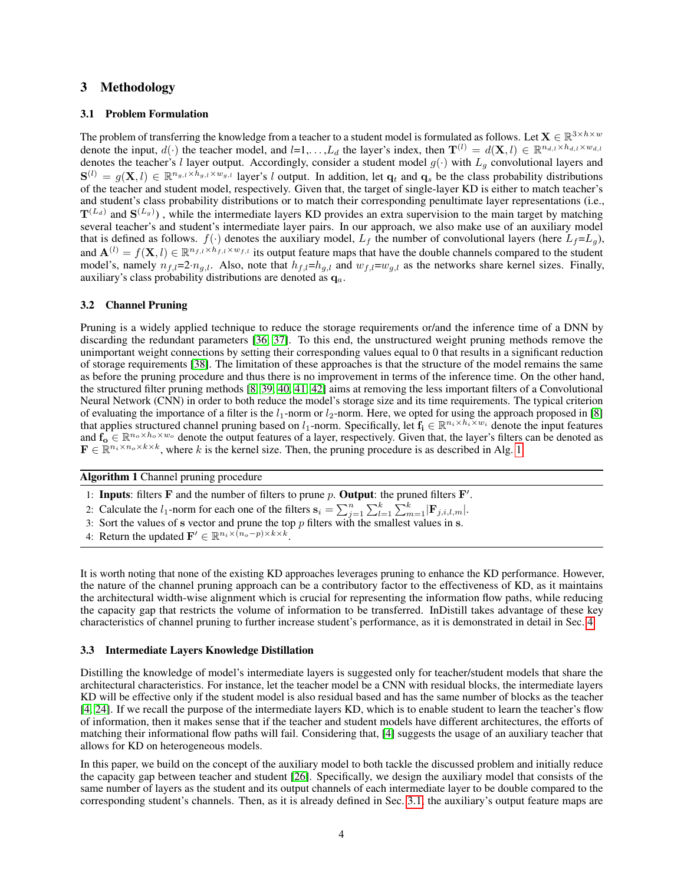# <span id="page-3-0"></span>3 Methodology

### <span id="page-3-2"></span>3.1 Problem Formulation

The problem of transferring the knowledge from a teacher to a student model is formulated as follows. Let  $\mathbf{X}\in\mathbb{R}^{3\times h\times w}$ denote the input,  $d(\cdot)$  the teacher model, and  $l=1,\ldots,L_d$  the layer's index, then  $\mathbf{T}^{(l)} = d(\mathbf{X},l) \in \mathbb{R}^{n_{d,l}\times n_{d,l}\times w_{d,l}}$ denotes the teacher's l layer output. Accordingly, consider a student model  $g(\cdot)$  with  $L_g$  convolutional layers and  $S^{(l)} = g(\mathbf{X}, l) \in \mathbb{R}^{n_{g,l} \times h_{g,l} \times w_{g,l}}$  layer's *l* output. In addition, let  $q_t$  and  $q_s$  be the class probability distributions of the teacher and student model, respectively. Given that, the target of single-layer KD is either to match teacher's and student's class probability distributions or to match their corresponding penultimate layer representations (i.e.,  $T^{(L_d)}$  and  $S^{(L_g)}$ , while the intermediate layers KD provides an extra supervision to the main target by matching several teacher's and student's intermediate layer pairs. In our approach, we also make use of an auxiliary model that is defined as follows.  $f(\cdot)$  denotes the auxiliary model,  $L_f$  the number of convolutional layers (here  $L_f = L_g$ ), and  $\mathbf{A}^{(l)} = f(\mathbf{X}, l) \in \mathbb{R}^{n_{f,l} \times h_{f,l} \times w_{f,l}}$  its output feature maps that have the double channels compared to the student model's, namely  $n_{f,l}=2\cdot n_{g,l}$ . Also, note that  $h_{f,l}=h_{g,l}$  and  $w_{f,l}=w_{g,l}$  as the networks share kernel sizes. Finally, auxiliary's class probability distributions are denoted as  $q_a$ .

#### <span id="page-3-3"></span>3.2 Channel Pruning

Pruning is a widely applied technique to reduce the storage requirements or/and the inference time of a DNN by discarding the redundant parameters [\[36,](#page-10-5) [37\]](#page-10-6). To this end, the unstructured weight pruning methods remove the unimportant weight connections by setting their corresponding values equal to 0 that results in a significant reduction of storage requirements [\[38\]](#page-10-7). The limitation of these approaches is that the structure of the model remains the same as before the pruning procedure and thus there is no improvement in terms of the inference time. On the other hand, the structured filter pruning methods [\[8,](#page-9-5) [39,](#page-10-8) [40,](#page-10-9) [41,](#page-10-10) [42\]](#page-10-11) aims at removing the less important filters of a Convolutional Neural Network (CNN) in order to both reduce the model's storage size and its time requirements. The typical criterion of evaluating the importance of a filter is the  $l_1$ -norm or  $l_2$ -norm. Here, we opted for using the approach proposed in [\[8\]](#page-9-5) that applies structured channel pruning based on  $l_1$ -norm. Specifically, let  $f_i \in \mathbb{R}^{n_i \times h_i \times w_i}$  denote the input features and  $f_o \in \mathbb{R}^{n_o \times h_o \times w_o}$  denote the output features of a layer, respectively. Given that, the layer's filters can be denoted as  $\mathbf{F} \in \mathbb{R}^{n_i \times n_o \times k \times k}$ , where k is the kernel size. Then, the pruning procedure is as described in Alg. [1.](#page-3-1)

<span id="page-3-1"></span>Algorithm 1 Channel pruning procedure

- 1: Inputs: filters  $F$  and the number of filters to prune  $p$ . Output: the pruned filters  $F'$ .
- 2: Calculate the  $l_1$ -norm for each one of the filters  $\mathbf{s}_i = \sum_{j=1}^n \sum_{l=1}^k \sum_{m=1}^k |\mathbf{F}_{j,i,l,m}|$ .
- 3: Sort the values of s vector and prune the top p filters with the smallest values in s.
- 4: Return the updated  $\mathbf{F}' \in \mathbb{R}^{n_i \times (n_o p) \times k \times k}$ .

It is worth noting that none of the existing KD approaches leverages pruning to enhance the KD performance. However, the nature of the channel pruning approach can be a contributory factor to the effectiveness of KD, as it maintains the architectural width-wise alignment which is crucial for representing the information flow paths, while reducing the capacity gap that restricts the volume of information to be transferred. InDistill takes advantage of these key characteristics of channel pruning to further increase student's performance, as it is demonstrated in detail in Sec. [4.](#page-4-0)

#### 3.3 Intermediate Layers Knowledge Distillation

Distilling the knowledge of model's intermediate layers is suggested only for teacher/student models that share the architectural characteristics. For instance, let the teacher model be a CNN with residual blocks, the intermediate layers KD will be effective only if the student model is also residual based and has the same number of blocks as the teacher [\[4,](#page-9-1) [24\]](#page-9-21). If we recall the purpose of the intermediate layers KD, which is to enable student to learn the teacher's flow of information, then it makes sense that if the teacher and student models have different architectures, the efforts of matching their informational flow paths will fail. Considering that, [\[4\]](#page-9-1) suggests the usage of an auxiliary teacher that allows for KD on heterogeneous models.

In this paper, we build on the concept of the auxiliary model to both tackle the discussed problem and initially reduce the capacity gap between teacher and student [\[26\]](#page-9-23). Specifically, we design the auxiliary model that consists of the same number of layers as the student and its output channels of each intermediate layer to be double compared to the corresponding student's channels. Then, as it is already defined in Sec. [3.1,](#page-3-2) the auxiliary's output feature maps are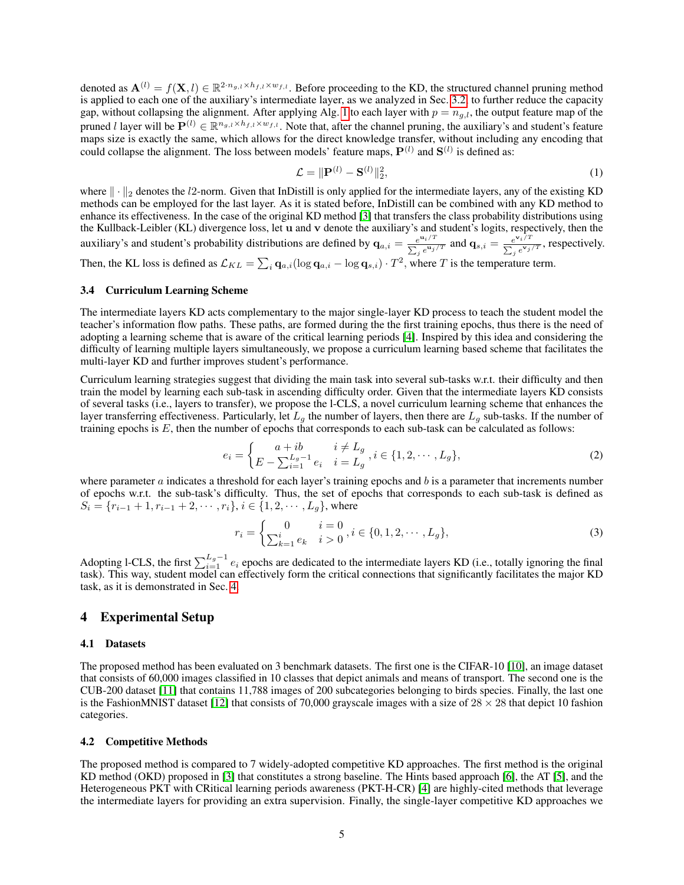denoted as  $\mathbf{A}^{(l)} = f(\mathbf{X}, l) \in \mathbb{R}^{2 \cdot n_{g,l} \times h_{f,l} \times w_{f,l}}$ . Before proceeding to the KD, the structured channel pruning method is applied to each one of the auxiliary's intermediate layer, as we analyzed in Sec. [3.2,](#page-3-3) to further reduce the capacity gap, without collapsing the alignment. After applying Alg. [1](#page-3-1) to each layer with  $p = n_{g,l}$ , the output feature map of the pruned l layer will be  $\mathbf{P}^{(l)} \in \mathbb{R}^{n_{g,l} \times h_{f,l} \times w_{f,l}}$ . Note that, after the channel pruning, the auxiliary's and student's feature maps size is exactly the same, which allows for the direct knowledge transfer, without including any encoding that could collapse the alignment. The loss between models' feature maps,  $P^{(l)}$  and  $S^{(l)}$  is defined as:

$$
\mathcal{L} = \|\mathbf{P}^{(l)} - \mathbf{S}^{(l)}\|_2^2,\tag{1}
$$

where  $\|\cdot\|_2$  denotes the l2-norm. Given that InDistill is only applied for the intermediate layers, any of the existing KD methods can be employed for the last layer. As it is stated before, InDistill can be combined with any KD method to enhance its effectiveness. In the case of the original KD method [\[3\]](#page-9-0) that transfers the class probability distributions using the Kullback-Leibler (KL) divergence loss, let u and v denote the auxiliary's and student's logits, respectively, then the auxiliary's and student's probability distributions are defined by  $\mathbf{q}_{a,i} = \frac{e^{\mathbf{u}_i/T}}{\sum_i \mathbf{u}_i}$  $\frac{e^{\mathbf{u}_i/T}}{\sum_j e^{\mathbf{u}_j/T}}$  and  $\mathbf{q}_{s,i} = \frac{e^{\mathbf{v}_i/T}}{\sum_j e^{\mathbf{v}_j}}$  $\frac{e^{i\theta}e^{i\theta}}{\sum_{j}e^{\mathbf{v}_{j}/T}}$ , respectively. Then, the KL loss is defined as  $\mathcal{L}_{KL} = \sum_i \mathbf{q}_{a,i} (\log \mathbf{q}_{a,i} - \log \mathbf{q}_{s,i}) \cdot T^2$ , where T is the temperature term.

#### 3.4 Curriculum Learning Scheme

The intermediate layers KD acts complementary to the major single-layer KD process to teach the student model the teacher's information flow paths. These paths, are formed during the the first training epochs, thus there is the need of adopting a learning scheme that is aware of the critical learning periods [\[4\]](#page-9-1). Inspired by this idea and considering the difficulty of learning multiple layers simultaneously, we propose a curriculum learning based scheme that facilitates the multi-layer KD and further improves student's performance.

Curriculum learning strategies suggest that dividing the main task into several sub-tasks w.r.t. their difficulty and then train the model by learning each sub-task in ascending difficulty order. Given that the intermediate layers KD consists of several tasks (i.e., layers to transfer), we propose the l-CLS, a novel curriculum learning scheme that enhances the layer transferring effectiveness. Particularly, let  $L_q$  the number of layers, then there are  $L_q$  sub-tasks. If the number of training epochs is  $E$ , then the number of epochs that corresponds to each sub-task can be calculated as follows:

$$
e_i = \begin{cases} a+ib & i \neq L_g \\ E - \sum_{i=1}^{L_g-1} e_i & i = L_g \end{cases}, i \in \{1, 2, \cdots, L_g\},\tag{2}
$$

where parameter  $\alpha$  indicates a threshold for each layer's training epochs and  $b$  is a parameter that increments number of epochs w.r.t. the sub-task's difficulty. Thus, the set of epochs that corresponds to each sub-task is defined as  $S_i = \{r_{i-1}+1, r_{i-1}+2, \cdots, r_i\}, i \in \{1, 2, \cdots, L_g\}$ , where

$$
r_i = \begin{cases} 0 & i = 0 \\ \sum_{k=1}^i e_k & i > 0 \end{cases}, i \in \{0, 1, 2, \cdots, L_g\},
$$
 (3)

Adopting l-CLS, the first  $\sum_{i=1}^{L_g-1} e_i$  epochs are dedicated to the intermediate layers KD (i.e., totally ignoring the final task). This way, student model can effectively form the critical connections that significantly facilitates the major KD task, as it is demonstrated in Sec. [4.](#page-4-0)

## <span id="page-4-0"></span>4 Experimental Setup

#### 4.1 Datasets

The proposed method has been evaluated on 3 benchmark datasets. The first one is the CIFAR-10 [\[10\]](#page-9-7), an image dataset that consists of 60,000 images classified in 10 classes that depict animals and means of transport. The second one is the CUB-200 dataset [\[11\]](#page-9-8) that contains 11,788 images of 200 subcategories belonging to birds species. Finally, the last one is the FashionMNIST dataset [\[12\]](#page-9-9) that consists of 70,000 grayscale images with a size of  $28 \times 28$  that depict 10 fashion categories.

#### 4.2 Competitive Methods

The proposed method is compared to 7 widely-adopted competitive KD approaches. The first method is the original KD method (OKD) proposed in [\[3\]](#page-9-0) that constitutes a strong baseline. The Hints based approach [\[6\]](#page-9-3), the AT [\[5\]](#page-9-2), and the Heterogeneous PKT with CRitical learning periods awareness (PKT-H-CR) [\[4\]](#page-9-1) are highly-cited methods that leverage the intermediate layers for providing an extra supervision. Finally, the single-layer competitive KD approaches we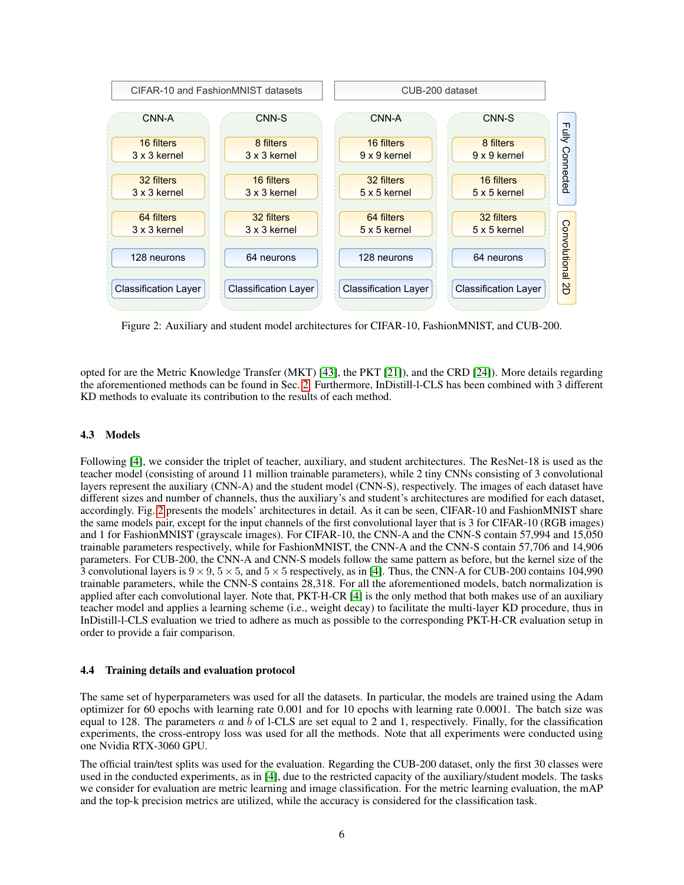<span id="page-5-0"></span>

Figure 2: Auxiliary and student model architectures for CIFAR-10, FashionMNIST, and CUB-200.

opted for are the Metric Knowledge Transfer (MKT) [\[43\]](#page-10-12), the PKT [\[21\]](#page-9-18)), and the CRD [\[24\]](#page-9-21)). More details regarding the aforementioned methods can be found in Sec. [2.](#page-2-0) Furthermore, InDistill-l-CLS has been combined with 3 different KD methods to evaluate its contribution to the results of each method.

## <span id="page-5-1"></span>4.3 Models

Following [\[4\]](#page-9-1), we consider the triplet of teacher, auxiliary, and student architectures. The ResNet-18 is used as the teacher model (consisting of around 11 million trainable parameters), while 2 tiny CNNs consisting of 3 convolutional layers represent the auxiliary (CNN-A) and the student model (CNN-S), respectively. The images of each dataset have different sizes and number of channels, thus the auxiliary's and student's architectures are modified for each dataset, accordingly. Fig. [2](#page-5-0) presents the models' architectures in detail. As it can be seen, CIFAR-10 and FashionMNIST share the same models pair, except for the input channels of the first convolutional layer that is 3 for CIFAR-10 (RGB images) and 1 for FashionMNIST (grayscale images). For CIFAR-10, the CNN-A and the CNN-S contain 57,994 and 15,050 trainable parameters respectively, while for FashionMNIST, the CNN-A and the CNN-S contain 57,706 and 14,906 parameters. For CUB-200, the CNN-A and CNN-S models follow the same pattern as before, but the kernel size of the 3 convolutional layers is  $9 \times 9$ ,  $5 \times 5$ , and  $5 \times 5$  respectively, as in [\[4\]](#page-9-1). Thus, the CNN-A for CUB-200 contains 104,990 trainable parameters, while the CNN-S contains 28,318. For all the aforementioned models, batch normalization is applied after each convolutional layer. Note that, PKT-H-CR [\[4\]](#page-9-1) is the only method that both makes use of an auxiliary teacher model and applies a learning scheme (i.e., weight decay) to facilitate the multi-layer KD procedure, thus in InDistill-l-CLS evaluation we tried to adhere as much as possible to the corresponding PKT-H-CR evaluation setup in order to provide a fair comparison.

## 4.4 Training details and evaluation protocol

The same set of hyperparameters was used for all the datasets. In particular, the models are trained using the Adam optimizer for 60 epochs with learning rate 0.001 and for 10 epochs with learning rate 0.0001. The batch size was equal to 128. The parameters a and b of l-CLS are set equal to 2 and 1, respectively. Finally, for the classification experiments, the cross-entropy loss was used for all the methods. Note that all experiments were conducted using one Nvidia RTX-3060 GPU.

The official train/test splits was used for the evaluation. Regarding the CUB-200 dataset, only the first 30 classes were used in the conducted experiments, as in [\[4\]](#page-9-1), due to the restricted capacity of the auxiliary/student models. The tasks we consider for evaluation are metric learning and image classification. For the metric learning evaluation, the mAP and the top-k precision metrics are utilized, while the accuracy is considered for the classification task.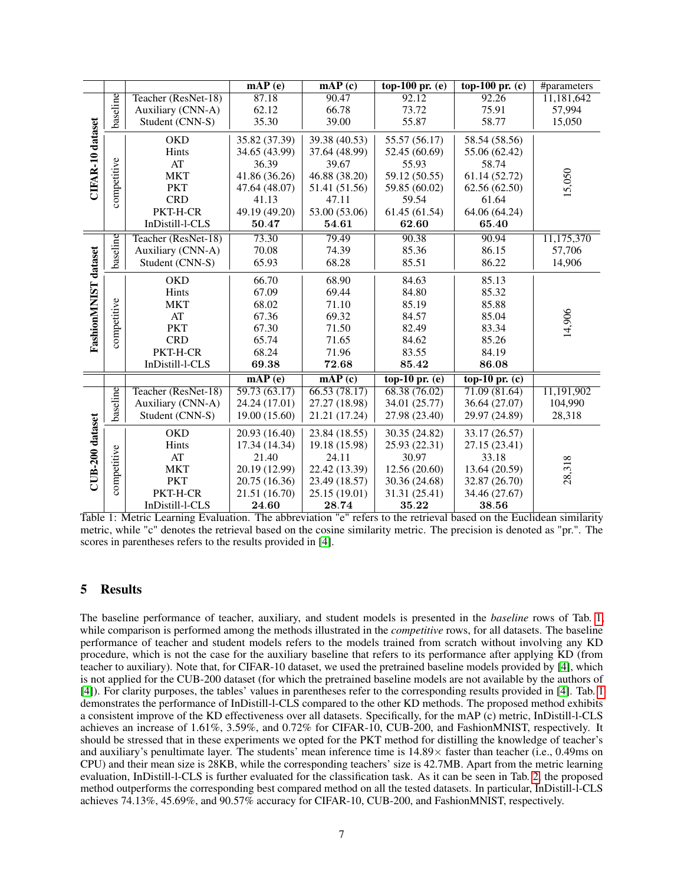<span id="page-6-1"></span>

|                         |             |                     | mAP(e)              | $\overline{\mathbf{mAP}(\mathbf{c})}$ | top-100 pr. $(e)$ | top-100 pr. $(c)$ | #parameters |
|-------------------------|-------------|---------------------|---------------------|---------------------------------------|-------------------|-------------------|-------------|
| <b>CIFAR-10</b> dataset | baseline    | Teacher (ResNet-18) | 87.18               | 90.47                                 | 92.12             | 92.26             | 11,181,642  |
|                         |             | Auxiliary (CNN-A)   | 62.12               | 66.78                                 | 73.72             | 75.91             | 57,994      |
|                         |             | Student (CNN-S)     | 35.30               | 39.00                                 | 55.87             | 58.77             | 15,050      |
|                         | competitive | <b>OKD</b>          | 35.82 (37.39)       | 39.38 (40.53)                         | 55.57 (56.17)     | 58.54 (58.56)     |             |
|                         |             | Hints               | 34.65 (43.99)       | 37.64 (48.99)                         | 52.45 (60.69)     | 55.06 (62.42)     |             |
|                         |             | AT                  | 36.39               | 39.67                                 | 55.93             | 58.74             |             |
|                         |             | <b>MKT</b>          | 41.86 (36.26)       | 46.88 (38.20)                         | 59.12 (50.55)     | 61.14 (52.72)     |             |
|                         |             | <b>PKT</b>          | 47.64 (48.07)       | 51.41 (51.56)                         | 59.85 (60.02)     | 62.56(62.50)      | 15,050      |
|                         |             | <b>CRD</b>          | 41.13               | 47.11                                 | 59.54             | 61.64             |             |
|                         |             | PKT-H-CR            | 49.19 (49.20)       | 53.00 (53.06)                         | 61.45 (61.54)     | 64.06 (64.24)     |             |
|                         |             | InDistill-l-CLS     | 50.47               | 54.61                                 | 62.60             | 65.40             |             |
| FashionMNIST dataset    | baseline    | Teacher (ResNet-18) | 73.30               | 79.49                                 | 90.38             | 90.94             | 11,175,370  |
|                         |             | Auxiliary (CNN-A)   | 70.08               | 74.39                                 | 85.36             | 86.15             | 57,706      |
|                         |             | Student (CNN-S)     | 65.93               | 68.28                                 | 85.51             | 86.22             | 14,906      |
|                         | competitive | <b>OKD</b>          | 66.70               | 68.90                                 | 84.63             | 85.13             |             |
|                         |             | Hints               | 67.09               | 69.44                                 | 84.80             | 85.32             |             |
|                         |             | <b>MKT</b>          | 68.02               | 71.10                                 | 85.19             | 85.88             |             |
|                         |             | AT                  | 67.36               | 69.32                                 | 84.57             | 85.04             | 14,906      |
|                         |             | <b>PKT</b>          | 67.30               | 71.50                                 | 82.49             | 83.34             |             |
|                         |             | <b>CRD</b>          | 65.74               | 71.65                                 | 84.62             | 85.26             |             |
|                         |             | PKT-H-CR            | 68.24               | 71.96                                 | 83.55             | 84.19             |             |
|                         |             | InDistill-l-CLS     | 69.38               | 72.68                                 | 85.42             | 86.08             |             |
|                         |             |                     | $\overline{mAP(e)}$ | $\overline{\mathbf{mAP}(\mathbf{c})}$ | top-10 pr. $(e)$  | top-10 pr. $(c)$  |             |
| CUB-200 dataset         | baseline    | Teacher (ResNet-18) | 59.73(63.17)        | 66.53(78.17)                          | 68.38(76.02)      | 71.09(81.64)      | 11,191,902  |
|                         |             | Auxiliary (CNN-A)   | 24.24 (17.01)       | 27.27 (18.98)                         | 34.01 (25.77)     | 36.64 (27.07)     | 104,990     |
|                         |             | Student (CNN-S)     | 19.00 (15.60)       | 21.21 (17.24)                         | 27.98 (23.40)     | 29.97 (24.89)     | 28,318      |
|                         | competitive | <b>OKD</b>          | 20.93 (16.40)       | 23.84 (18.55)                         | 30.35 (24.82)     | 33.17 (26.57)     |             |
|                         |             | Hints               | 17.34 (14.34)       | 19.18 (15.98)                         | 25.93 (22.31)     | 27.15 (23.41)     |             |
|                         |             | AT                  | 21.40               | 24.11                                 | 30.97             | 33.18             |             |
|                         |             | <b>MKT</b>          | 20.19 (12.99)       | 22.42 (13.39)                         | 12.56 (20.60)     | 13.64 (20.59)     | 28,318      |
|                         |             | <b>PKT</b>          | 20.75 (16.36)       | 23.49 (18.57)                         | 30.36 (24.68)     | 32.87 (26.70)     |             |
|                         |             | PKT-H-CR            | 21.51 (16.70)       | 25.15 (19.01)                         | 31.31 (25.41)     | 34.46 (27.67)     |             |
|                         |             | InDistill-l-CLS     | 24.60               | 28.74                                 | 35.22             | 38.56             |             |

Table 1: Metric Learning Evaluation. The abbreviation "e" refers to the retrieval based on the Euclidean similarity metric, while "c" denotes the retrieval based on the cosine similarity metric. The precision is denoted as "pr.". The scores in parentheses refers to the results provided in [\[4\]](#page-9-1).

# <span id="page-6-0"></span>5 Results

The baseline performance of teacher, auxiliary, and student models is presented in the *baseline* rows of Tab. [1,](#page-6-1) while comparison is performed among the methods illustrated in the *competitive* rows, for all datasets. The baseline performance of teacher and student models refers to the models trained from scratch without involving any KD procedure, which is not the case for the auxiliary baseline that refers to its performance after applying KD (from teacher to auxiliary). Note that, for CIFAR-10 dataset, we used the pretrained baseline models provided by [\[4\]](#page-9-1), which is not applied for the CUB-200 dataset (for which the pretrained baseline models are not available by the authors of [\[4\]](#page-9-1)). For clarity purposes, the tables' values in parentheses refer to the corresponding results provided in [\[4\]](#page-9-1). Tab. [1](#page-6-1) demonstrates the performance of InDistill-l-CLS compared to the other KD methods. The proposed method exhibits a consistent improve of the KD effectiveness over all datasets. Specifically, for the mAP (c) metric, InDistill-l-CLS achieves an increase of 1.61%, 3.59%, and 0.72% for CIFAR-10, CUB-200, and FashionMNIST, respectively. It should be stressed that in these experiments we opted for the PKT method for distilling the knowledge of teacher's and auxiliary's penultimate layer. The students' mean inference time is  $14.89\times$  faster than teacher (i.e., 0.49ms on CPU) and their mean size is 28KB, while the corresponding teachers' size is 42.7MB. Apart from the metric learning evaluation, InDistill-l-CLS is further evaluated for the classification task. As it can be seen in Tab. [2,](#page-7-0) the proposed method outperforms the corresponding best compared method on all the tested datasets. In particular, InDistill-l-CLS achieves 74.13%, 45.69%, and 90.57% accuracy for CIFAR-10, CUB-200, and FashionMNIST, respectively.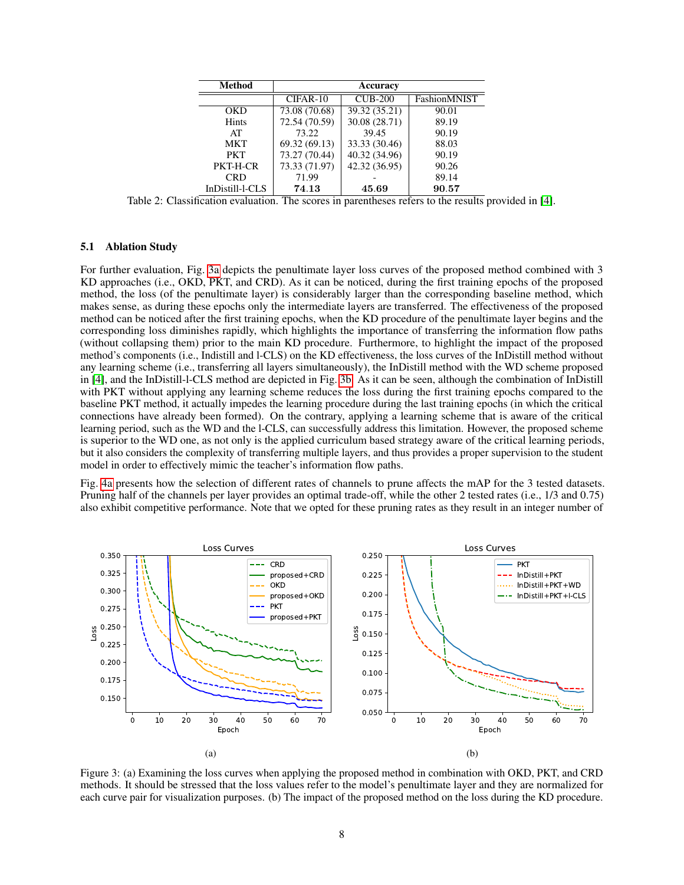<span id="page-7-0"></span>

| Method          | Accuracy      |                |              |  |  |
|-----------------|---------------|----------------|--------------|--|--|
|                 | $CIFAR-10$    | <b>CUB-200</b> | FashionMNIST |  |  |
| OKD             | 73.08 (70.68) | 39.32 (35.21)  | 90.01        |  |  |
| <b>Hints</b>    | 72.54 (70.59) | 30.08 (28.71)  | 89.19        |  |  |
| AT              | 73.22         | 39.45          | 90.19        |  |  |
| <b>MKT</b>      | 69.32 (69.13) | 33.33 (30.46)  | 88.03        |  |  |
| <b>PKT</b>      | 73.27 (70.44) | 40.32 (34.96)  | 90.19        |  |  |
| PKT-H-CR        | 73.33 (71.97) | 42.32 (36.95)  | 90.26        |  |  |
| CRD             | 71.99         |                | 89.14        |  |  |
| InDistill-l-CLS | 74.13         | 45.69          | 90.57        |  |  |

Table 2: Classification evaluation. The scores in parentheses refers to the results provided in [\[4\]](#page-9-1).

#### 5.1 Ablation Study

For further evaluation, Fig. [3a](#page-7-1) depicts the penultimate layer loss curves of the proposed method combined with 3 KD approaches (i.e., OKD, PKT, and CRD). As it can be noticed, during the first training epochs of the proposed method, the loss (of the penultimate layer) is considerably larger than the corresponding baseline method, which makes sense, as during these epochs only the intermediate layers are transferred. The effectiveness of the proposed method can be noticed after the first training epochs, when the KD procedure of the penultimate layer begins and the corresponding loss diminishes rapidly, which highlights the importance of transferring the information flow paths (without collapsing them) prior to the main KD procedure. Furthermore, to highlight the impact of the proposed method's components (i.e., Indistill and l-CLS) on the KD effectiveness, the loss curves of the InDistill method without any learning scheme (i.e., transferring all layers simultaneously), the InDistill method with the WD scheme proposed in [\[4\]](#page-9-1), and the InDistill-l-CLS method are depicted in Fig. [3b.](#page-7-1) As it can be seen, although the combination of InDistill with PKT without applying any learning scheme reduces the loss during the first training epochs compared to the baseline PKT method, it actually impedes the learning procedure during the last training epochs (in which the critical connections have already been formed). On the contrary, applying a learning scheme that is aware of the critical learning period, such as the WD and the l-CLS, can successfully address this limitation. However, the proposed scheme is superior to the WD one, as not only is the applied curriculum based strategy aware of the critical learning periods, but it also considers the complexity of transferring multiple layers, and thus provides a proper supervision to the student model in order to effectively mimic the teacher's information flow paths.

Fig. [4a](#page-8-3) presents how the selection of different rates of channels to prune affects the mAP for the 3 tested datasets. Pruning half of the channels per layer provides an optimal trade-off, while the other 2 tested rates (i.e., 1/3 and 0.75) also exhibit competitive performance. Note that we opted for these pruning rates as they result in an integer number of

<span id="page-7-1"></span>

Figure 3: (a) Examining the loss curves when applying the proposed method in combination with OKD, PKT, and CRD methods. It should be stressed that the loss values refer to the model's penultimate layer and they are normalized for each curve pair for visualization purposes. (b) The impact of the proposed method on the loss during the KD procedure.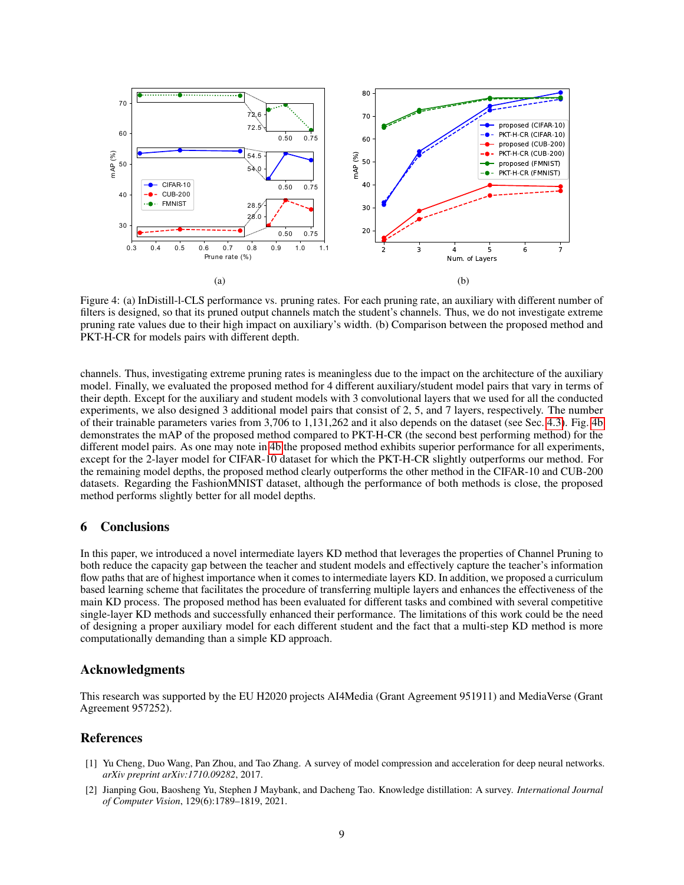<span id="page-8-3"></span>

Figure 4: (a) InDistill-l-CLS performance vs. pruning rates. For each pruning rate, an auxiliary with different number of filters is designed, so that its pruned output channels match the student's channels. Thus, we do not investigate extreme pruning rate values due to their high impact on auxiliary's width. (b) Comparison between the proposed method and PKT-H-CR for models pairs with different depth.

channels. Thus, investigating extreme pruning rates is meaningless due to the impact on the architecture of the auxiliary model. Finally, we evaluated the proposed method for 4 different auxiliary/student model pairs that vary in terms of their depth. Except for the auxiliary and student models with 3 convolutional layers that we used for all the conducted experiments, we also designed 3 additional model pairs that consist of 2, 5, and 7 layers, respectively. The number of their trainable parameters varies from 3,706 to 1,131,262 and it also depends on the dataset (see Sec. [4.3\)](#page-5-1). Fig. [4b](#page-8-3) demonstrates the mAP of the proposed method compared to PKT-H-CR (the second best performing method) for the different model pairs. As one may note in [4b](#page-8-3) the proposed method exhibits superior performance for all experiments, except for the 2-layer model for CIFAR-10 dataset for which the PKT-H-CR slightly outperforms our method. For the remaining model depths, the proposed method clearly outperforms the other method in the CIFAR-10 and CUB-200 datasets. Regarding the FashionMNIST dataset, although the performance of both methods is close, the proposed method performs slightly better for all model depths.

## <span id="page-8-2"></span>6 Conclusions

In this paper, we introduced a novel intermediate layers KD method that leverages the properties of Channel Pruning to both reduce the capacity gap between the teacher and student models and effectively capture the teacher's information flow paths that are of highest importance when it comes to intermediate layers KD. In addition, we proposed a curriculum based learning scheme that facilitates the procedure of transferring multiple layers and enhances the effectiveness of the main KD process. The proposed method has been evaluated for different tasks and combined with several competitive single-layer KD methods and successfully enhanced their performance. The limitations of this work could be the need of designing a proper auxiliary model for each different student and the fact that a multi-step KD method is more computationally demanding than a simple KD approach.

## Acknowledgments

This research was supported by the EU H2020 projects AI4Media (Grant Agreement 951911) and MediaVerse (Grant Agreement 957252).

# References

- <span id="page-8-0"></span>[1] Yu Cheng, Duo Wang, Pan Zhou, and Tao Zhang. A survey of model compression and acceleration for deep neural networks. *arXiv preprint arXiv:1710.09282*, 2017.
- <span id="page-8-1"></span>[2] Jianping Gou, Baosheng Yu, Stephen J Maybank, and Dacheng Tao. Knowledge distillation: A survey. *International Journal of Computer Vision*, 129(6):1789–1819, 2021.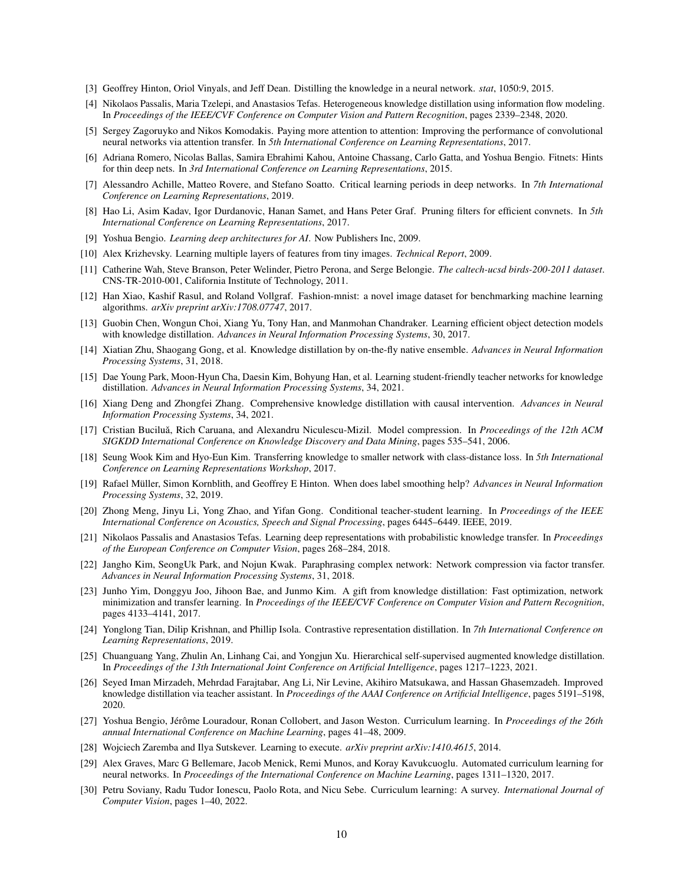- <span id="page-9-0"></span>[3] Geoffrey Hinton, Oriol Vinyals, and Jeff Dean. Distilling the knowledge in a neural network. *stat*, 1050:9, 2015.
- <span id="page-9-1"></span>[4] Nikolaos Passalis, Maria Tzelepi, and Anastasios Tefas. Heterogeneous knowledge distillation using information flow modeling. In *Proceedings of the IEEE/CVF Conference on Computer Vision and Pattern Recognition*, pages 2339–2348, 2020.
- <span id="page-9-2"></span>[5] Sergey Zagoruyko and Nikos Komodakis. Paying more attention to attention: Improving the performance of convolutional neural networks via attention transfer. In *5th International Conference on Learning Representations*, 2017.
- <span id="page-9-3"></span>[6] Adriana Romero, Nicolas Ballas, Samira Ebrahimi Kahou, Antoine Chassang, Carlo Gatta, and Yoshua Bengio. Fitnets: Hints for thin deep nets. In *3rd International Conference on Learning Representations*, 2015.
- <span id="page-9-4"></span>[7] Alessandro Achille, Matteo Rovere, and Stefano Soatto. Critical learning periods in deep networks. In *7th International Conference on Learning Representations*, 2019.
- <span id="page-9-5"></span>[8] Hao Li, Asim Kadav, Igor Durdanovic, Hanan Samet, and Hans Peter Graf. Pruning filters for efficient convnets. In *5th International Conference on Learning Representations*, 2017.
- <span id="page-9-6"></span>[9] Yoshua Bengio. *Learning deep architectures for AI*. Now Publishers Inc, 2009.
- <span id="page-9-7"></span>[10] Alex Krizhevsky. Learning multiple layers of features from tiny images. *Technical Report*, 2009.
- <span id="page-9-8"></span>[11] Catherine Wah, Steve Branson, Peter Welinder, Pietro Perona, and Serge Belongie. *The caltech-ucsd birds-200-2011 dataset*. CNS-TR-2010-001, California Institute of Technology, 2011.
- <span id="page-9-9"></span>[12] Han Xiao, Kashif Rasul, and Roland Vollgraf. Fashion-mnist: a novel image dataset for benchmarking machine learning algorithms. *arXiv preprint arXiv:1708.07747*, 2017.
- <span id="page-9-10"></span>[13] Guobin Chen, Wongun Choi, Xiang Yu, Tony Han, and Manmohan Chandraker. Learning efficient object detection models with knowledge distillation. *Advances in Neural Information Processing Systems*, 30, 2017.
- <span id="page-9-11"></span>[14] Xiatian Zhu, Shaogang Gong, et al. Knowledge distillation by on-the-fly native ensemble. *Advances in Neural Information Processing Systems*, 31, 2018.
- <span id="page-9-12"></span>[15] Dae Young Park, Moon-Hyun Cha, Daesin Kim, Bohyung Han, et al. Learning student-friendly teacher networks for knowledge distillation. *Advances in Neural Information Processing Systems*, 34, 2021.
- <span id="page-9-13"></span>[16] Xiang Deng and Zhongfei Zhang. Comprehensive knowledge distillation with causal intervention. *Advances in Neural Information Processing Systems*, 34, 2021.
- <span id="page-9-14"></span>[17] Cristian Buciluă, Rich Caruana, and Alexandru Niculescu-Mizil. Model compression. In Proceedings of the 12th ACM *SIGKDD International Conference on Knowledge Discovery and Data Mining*, pages 535–541, 2006.
- <span id="page-9-15"></span>[18] Seung Wook Kim and Hyo-Eun Kim. Transferring knowledge to smaller network with class-distance loss. In *5th International Conference on Learning Representations Workshop*, 2017.
- <span id="page-9-16"></span>[19] Rafael Müller, Simon Kornblith, and Geoffrey E Hinton. When does label smoothing help? *Advances in Neural Information Processing Systems*, 32, 2019.
- <span id="page-9-17"></span>[20] Zhong Meng, Jinyu Li, Yong Zhao, and Yifan Gong. Conditional teacher-student learning. In *Proceedings of the IEEE International Conference on Acoustics, Speech and Signal Processing*, pages 6445–6449. IEEE, 2019.
- <span id="page-9-18"></span>[21] Nikolaos Passalis and Anastasios Tefas. Learning deep representations with probabilistic knowledge transfer. In *Proceedings of the European Conference on Computer Vision*, pages 268–284, 2018.
- <span id="page-9-19"></span>[22] Jangho Kim, SeongUk Park, and Nojun Kwak. Paraphrasing complex network: Network compression via factor transfer. *Advances in Neural Information Processing Systems*, 31, 2018.
- <span id="page-9-20"></span>[23] Junho Yim, Donggyu Joo, Jihoon Bae, and Junmo Kim. A gift from knowledge distillation: Fast optimization, network minimization and transfer learning. In *Proceedings of the IEEE/CVF Conference on Computer Vision and Pattern Recognition*, pages 4133–4141, 2017.
- <span id="page-9-21"></span>[24] Yonglong Tian, Dilip Krishnan, and Phillip Isola. Contrastive representation distillation. In *7th International Conference on Learning Representations*, 2019.
- <span id="page-9-22"></span>[25] Chuanguang Yang, Zhulin An, Linhang Cai, and Yongjun Xu. Hierarchical self-supervised augmented knowledge distillation. In *Proceedings of the 13th International Joint Conference on Artificial Intelligence*, pages 1217–1223, 2021.
- <span id="page-9-23"></span>[26] Seyed Iman Mirzadeh, Mehrdad Farajtabar, Ang Li, Nir Levine, Akihiro Matsukawa, and Hassan Ghasemzadeh. Improved knowledge distillation via teacher assistant. In *Proceedings of the AAAI Conference on Artificial Intelligence*, pages 5191–5198, 2020.
- <span id="page-9-24"></span>[27] Yoshua Bengio, Jérôme Louradour, Ronan Collobert, and Jason Weston. Curriculum learning. In *Proceedings of the 26th annual International Conference on Machine Learning*, pages 41–48, 2009.
- <span id="page-9-25"></span>[28] Wojciech Zaremba and Ilya Sutskever. Learning to execute. *arXiv preprint arXiv:1410.4615*, 2014.
- <span id="page-9-26"></span>[29] Alex Graves, Marc G Bellemare, Jacob Menick, Remi Munos, and Koray Kavukcuoglu. Automated curriculum learning for neural networks. In *Proceedings of the International Conference on Machine Learning*, pages 1311–1320, 2017.
- <span id="page-9-27"></span>[30] Petru Soviany, Radu Tudor Ionescu, Paolo Rota, and Nicu Sebe. Curriculum learning: A survey. *International Journal of Computer Vision*, pages 1–40, 2022.